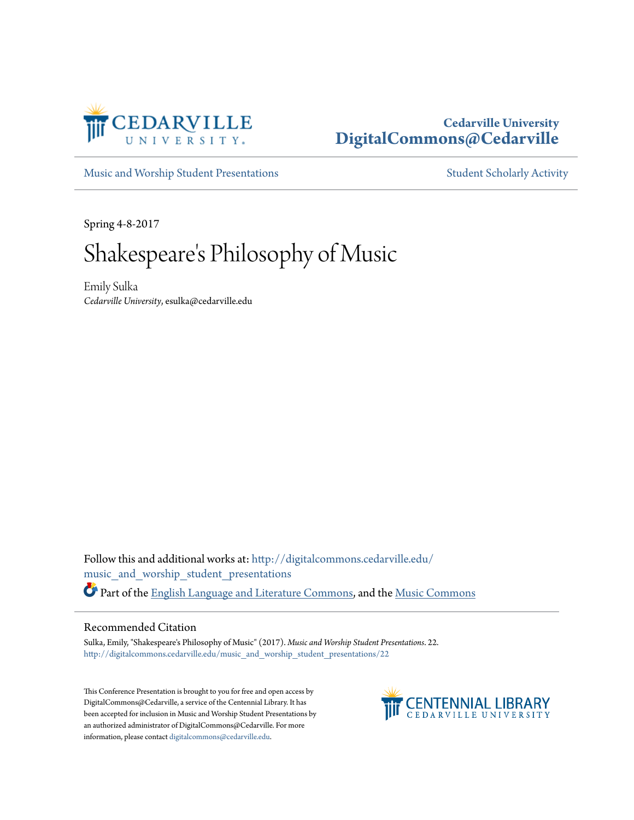

## **Cedarville University [DigitalCommons@Cedarville](http://digitalcommons.cedarville.edu?utm_source=digitalcommons.cedarville.edu%2Fmusic_and_worship_student_presentations%2F22&utm_medium=PDF&utm_campaign=PDFCoverPages)**

[Music and Worship Student Presentations](http://digitalcommons.cedarville.edu/music_and_worship_student_presentations?utm_source=digitalcommons.cedarville.edu%2Fmusic_and_worship_student_presentations%2F22&utm_medium=PDF&utm_campaign=PDFCoverPages) [Student Scholarly Activity](http://digitalcommons.cedarville.edu/music_student_scholarly_activity?utm_source=digitalcommons.cedarville.edu%2Fmusic_and_worship_student_presentations%2F22&utm_medium=PDF&utm_campaign=PDFCoverPages)

Spring 4-8-2017

## Shakespeare 's Philosophy of Music

Emily Sulka *Cedarville University*, esulka@cedarville.edu

Follow this and additional works at: [http://digitalcommons.cedarville.edu/](http://digitalcommons.cedarville.edu/music_and_worship_student_presentations?utm_source=digitalcommons.cedarville.edu%2Fmusic_and_worship_student_presentations%2F22&utm_medium=PDF&utm_campaign=PDFCoverPages) [music\\_and\\_worship\\_student\\_presentations](http://digitalcommons.cedarville.edu/music_and_worship_student_presentations?utm_source=digitalcommons.cedarville.edu%2Fmusic_and_worship_student_presentations%2F22&utm_medium=PDF&utm_campaign=PDFCoverPages) Part of the [English Language and Literature Commons](http://network.bepress.com/hgg/discipline/455?utm_source=digitalcommons.cedarville.edu%2Fmusic_and_worship_student_presentations%2F22&utm_medium=PDF&utm_campaign=PDFCoverPages), and the [Music Commons](http://network.bepress.com/hgg/discipline/518?utm_source=digitalcommons.cedarville.edu%2Fmusic_and_worship_student_presentations%2F22&utm_medium=PDF&utm_campaign=PDFCoverPages)

## Recommended Citation

Sulka, Emily, "Shakespeare's Philosophy of Music" (2017). *Music and Worship Student Presentations*. 22. [http://digitalcommons.cedarville.edu/music\\_and\\_worship\\_student\\_presentations/22](http://digitalcommons.cedarville.edu/music_and_worship_student_presentations/22?utm_source=digitalcommons.cedarville.edu%2Fmusic_and_worship_student_presentations%2F22&utm_medium=PDF&utm_campaign=PDFCoverPages)

This Conference Presentation is brought to you for free and open access by DigitalCommons@Cedarville, a service of the Centennial Library. It has been accepted for inclusion in Music and Worship Student Presentations by an authorized administrator of DigitalCommons@Cedarville. For more information, please contact [digitalcommons@cedarville.edu.](mailto:digitalcommons@cedarville.edu)

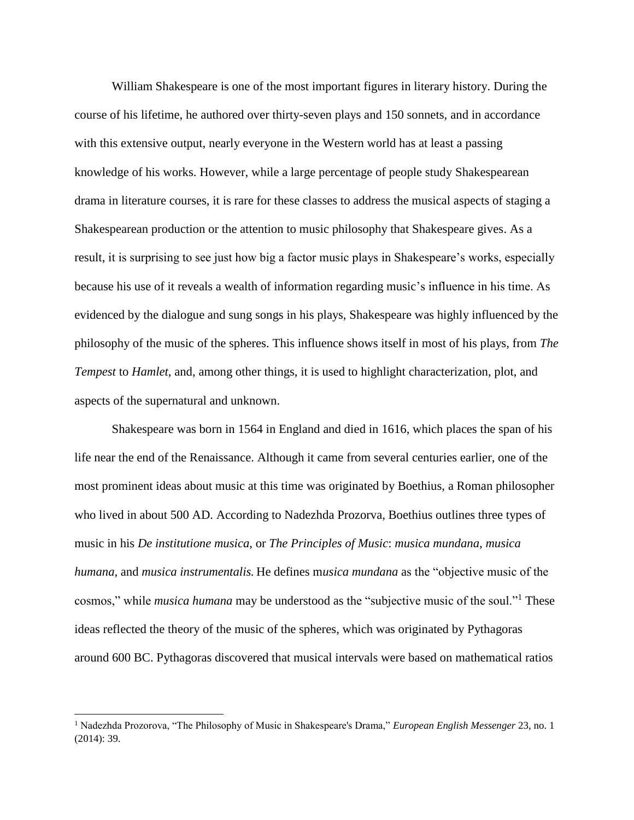William Shakespeare is one of the most important figures in literary history. During the course of his lifetime, he authored over thirty-seven plays and 150 sonnets, and in accordance with this extensive output, nearly everyone in the Western world has at least a passing knowledge of his works. However, while a large percentage of people study Shakespearean drama in literature courses, it is rare for these classes to address the musical aspects of staging a Shakespearean production or the attention to music philosophy that Shakespeare gives. As a result, it is surprising to see just how big a factor music plays in Shakespeare's works, especially because his use of it reveals a wealth of information regarding music's influence in his time. As evidenced by the dialogue and sung songs in his plays, Shakespeare was highly influenced by the philosophy of the music of the spheres. This influence shows itself in most of his plays, from *The Tempest* to *Hamlet*, and, among other things, it is used to highlight characterization, plot, and aspects of the supernatural and unknown.

Shakespeare was born in 1564 in England and died in 1616, which places the span of his life near the end of the Renaissance. Although it came from several centuries earlier, one of the most prominent ideas about music at this time was originated by Boethius, a Roman philosopher who lived in about 500 AD. According to Nadezhda Prozorva, Boethius outlines three types of music in his *De institutione musica*, or *The Principles of Music*: *musica mundana, musica humana,* and *musica instrumentalis.* He defines m*usica mundana* as the "objective music of the cosmos," while *musica humana* may be understood as the "subjective music of the soul."<sup>1</sup> These ideas reflected the theory of the music of the spheres, which was originated by Pythagoras around 600 BC. Pythagoras discovered that musical intervals were based on mathematical ratios

<sup>1</sup> Nadezhda Prozorova, "The Philosophy of Music in Shakespeare's Drama," *European English Messenger* 23, no. 1 (2014): 39.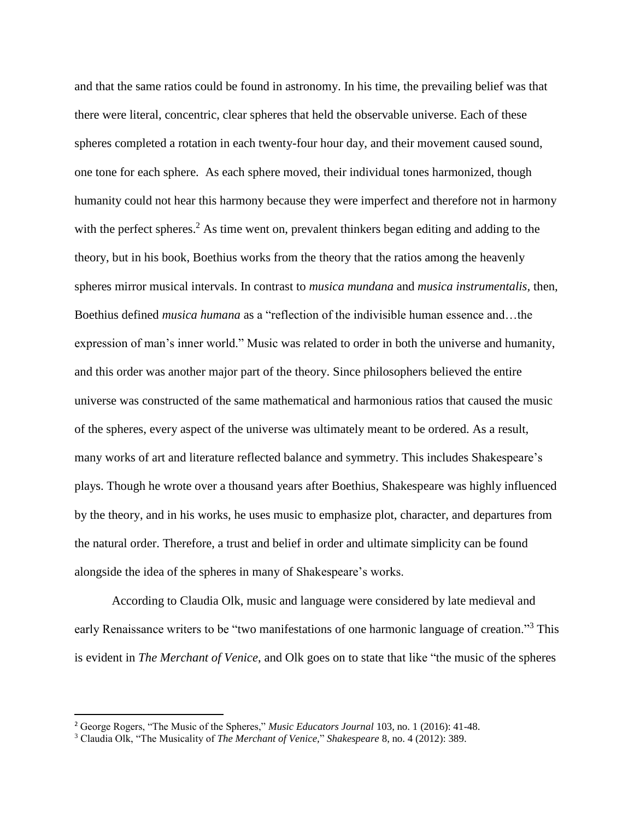and that the same ratios could be found in astronomy. In his time, the prevailing belief was that there were literal, concentric, clear spheres that held the observable universe. Each of these spheres completed a rotation in each twenty-four hour day, and their movement caused sound, one tone for each sphere. As each sphere moved, their individual tones harmonized, though humanity could not hear this harmony because they were imperfect and therefore not in harmony with the perfect spheres.<sup>2</sup> As time went on, prevalent thinkers began editing and adding to the theory, but in his book, Boethius works from the theory that the ratios among the heavenly spheres mirror musical intervals. In contrast to *musica mundana* and *musica instrumentalis,* then, Boethius defined *musica humana* as a "reflection of the indivisible human essence and…the expression of man's inner world." Music was related to order in both the universe and humanity, and this order was another major part of the theory. Since philosophers believed the entire universe was constructed of the same mathematical and harmonious ratios that caused the music of the spheres, every aspect of the universe was ultimately meant to be ordered. As a result, many works of art and literature reflected balance and symmetry. This includes Shakespeare's plays. Though he wrote over a thousand years after Boethius, Shakespeare was highly influenced by the theory, and in his works, he uses music to emphasize plot, character, and departures from the natural order. Therefore, a trust and belief in order and ultimate simplicity can be found alongside the idea of the spheres in many of Shakespeare's works.

According to Claudia Olk, music and language were considered by late medieval and early Renaissance writers to be "two manifestations of one harmonic language of creation."<sup>3</sup> This is evident in *The Merchant of Venice*, and Olk goes on to state that like "the music of the spheres

 $\overline{a}$ 

<sup>2</sup> George Rogers, "The Music of the Spheres," *Music Educators Journal* 103, no. 1 (2016): 41-48.

<sup>3</sup> Claudia Olk, "The Musicality of *The Merchant of Venice,*" *Shakespeare* 8, no. 4 (2012): 389.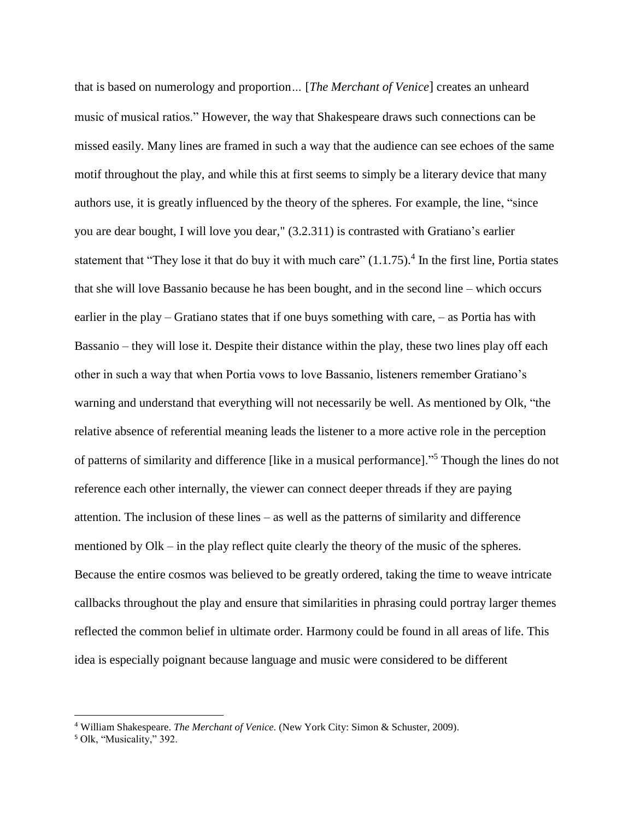that is based on numerology and proportion*…* [*The Merchant of Venice*] creates an unheard music of musical ratios." However, the way that Shakespeare draws such connections can be missed easily. Many lines are framed in such a way that the audience can see echoes of the same motif throughout the play, and while this at first seems to simply be a literary device that many authors use, it is greatly influenced by the theory of the spheres. For example, the line, "since you are dear bought, I will love you dear," (3.2.311) is contrasted with Gratiano's earlier statement that "They lose it that do buy it with much care"  $(1.1.75)$ .<sup>4</sup> In the first line, Portia states that she will love Bassanio because he has been bought, and in the second line – which occurs earlier in the play – Gratiano states that if one buys something with care, – as Portia has with Bassanio – they will lose it. Despite their distance within the play, these two lines play off each other in such a way that when Portia vows to love Bassanio, listeners remember Gratiano's warning and understand that everything will not necessarily be well. As mentioned by Olk, "the relative absence of referential meaning leads the listener to a more active role in the perception of patterns of similarity and difference [like in a musical performance]."<sup>5</sup> Though the lines do not reference each other internally, the viewer can connect deeper threads if they are paying attention. The inclusion of these lines – as well as the patterns of similarity and difference mentioned by Olk – in the play reflect quite clearly the theory of the music of the spheres. Because the entire cosmos was believed to be greatly ordered, taking the time to weave intricate callbacks throughout the play and ensure that similarities in phrasing could portray larger themes reflected the common belief in ultimate order. Harmony could be found in all areas of life. This idea is especially poignant because language and music were considered to be different

<sup>4</sup> William Shakespeare. *The Merchant of Venice.* (New York City: Simon & Schuster, 2009).

<sup>5</sup> Olk, "Musicality," 392.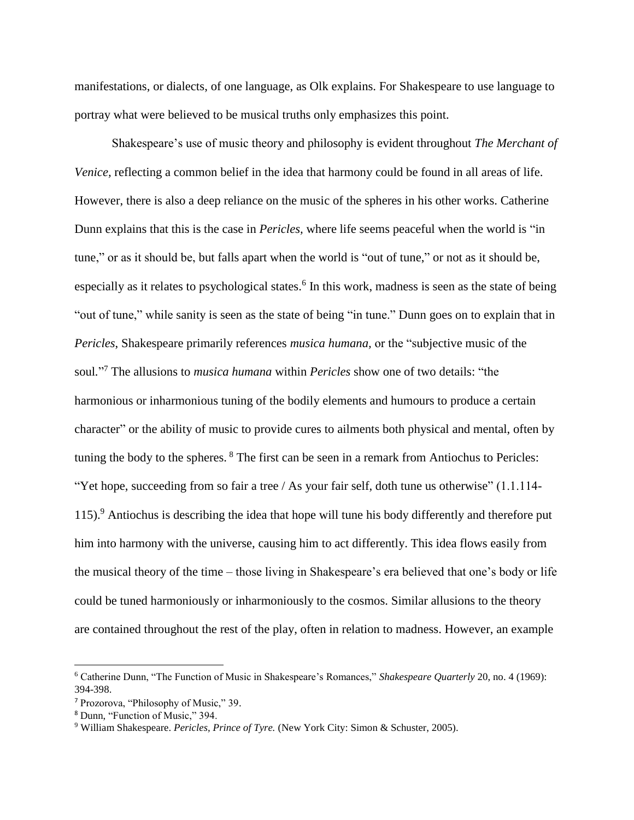manifestations, or dialects, of one language, as Olk explains. For Shakespeare to use language to portray what were believed to be musical truths only emphasizes this point.

Shakespeare's use of music theory and philosophy is evident throughout *The Merchant of Venice,* reflecting a common belief in the idea that harmony could be found in all areas of life. However, there is also a deep reliance on the music of the spheres in his other works. Catherine Dunn explains that this is the case in *Pericles,* where life seems peaceful when the world is "in tune," or as it should be, but falls apart when the world is "out of tune," or not as it should be, especially as it relates to psychological states.<sup>6</sup> In this work, madness is seen as the state of being "out of tune," while sanity is seen as the state of being "in tune." Dunn goes on to explain that in *Pericles*, Shakespeare primarily references *musica humana,* or the "subjective music of the soul*.*" <sup>7</sup> The allusions to *musica humana* within *Pericles* show one of two details: "the harmonious or inharmonious tuning of the bodily elements and humours to produce a certain character" or the ability of music to provide cures to ailments both physical and mental, often by tuning the body to the spheres. <sup>8</sup> The first can be seen in a remark from Antiochus to Pericles: "Yet hope, succeeding from so fair a tree / As your fair self, doth tune us otherwise" (1.1.114- 115). <sup>9</sup> Antiochus is describing the idea that hope will tune his body differently and therefore put him into harmony with the universe, causing him to act differently. This idea flows easily from the musical theory of the time – those living in Shakespeare's era believed that one's body or life could be tuned harmoniously or inharmoniously to the cosmos. Similar allusions to the theory are contained throughout the rest of the play, often in relation to madness. However, an example

<sup>6</sup> Catherine Dunn, "The Function of Music in Shakespeare's Romances," *Shakespeare Quarterly* 20, no. 4 (1969): 394-398.

<sup>7</sup> Prozorova, "Philosophy of Music," 39.

<sup>8</sup> Dunn, "Function of Music," 394.

<sup>9</sup> William Shakespeare. *Pericles, Prince of Tyre.* (New York City: Simon & Schuster, 2005).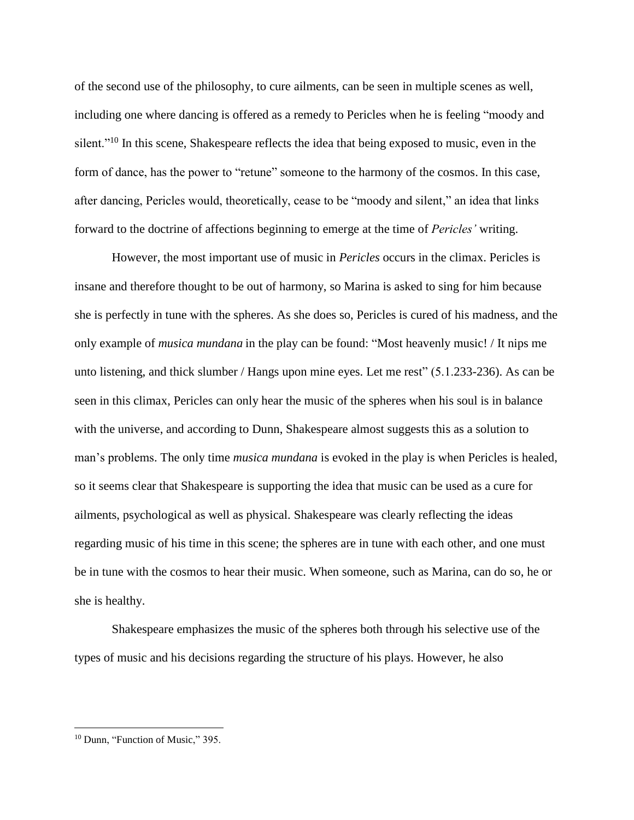of the second use of the philosophy, to cure ailments, can be seen in multiple scenes as well, including one where dancing is offered as a remedy to Pericles when he is feeling "moody and silent."<sup>10</sup> In this scene, Shakespeare reflects the idea that being exposed to music, even in the form of dance, has the power to "retune" someone to the harmony of the cosmos. In this case, after dancing, Pericles would, theoretically, cease to be "moody and silent," an idea that links forward to the doctrine of affections beginning to emerge at the time of *Pericles'* writing.

However, the most important use of music in *Pericles* occurs in the climax. Pericles is insane and therefore thought to be out of harmony, so Marina is asked to sing for him because she is perfectly in tune with the spheres. As she does so, Pericles is cured of his madness, and the only example of *musica mundana* in the play can be found: "Most heavenly music! / It nips me unto listening, and thick slumber / Hangs upon mine eyes. Let me rest" (5.1.233-236). As can be seen in this climax, Pericles can only hear the music of the spheres when his soul is in balance with the universe, and according to Dunn, Shakespeare almost suggests this as a solution to man's problems. The only time *musica mundana* is evoked in the play is when Pericles is healed, so it seems clear that Shakespeare is supporting the idea that music can be used as a cure for ailments, psychological as well as physical. Shakespeare was clearly reflecting the ideas regarding music of his time in this scene; the spheres are in tune with each other, and one must be in tune with the cosmos to hear their music. When someone, such as Marina, can do so, he or she is healthy.

Shakespeare emphasizes the music of the spheres both through his selective use of the types of music and his decisions regarding the structure of his plays. However, he also

<sup>&</sup>lt;sup>10</sup> Dunn, "Function of Music," 395.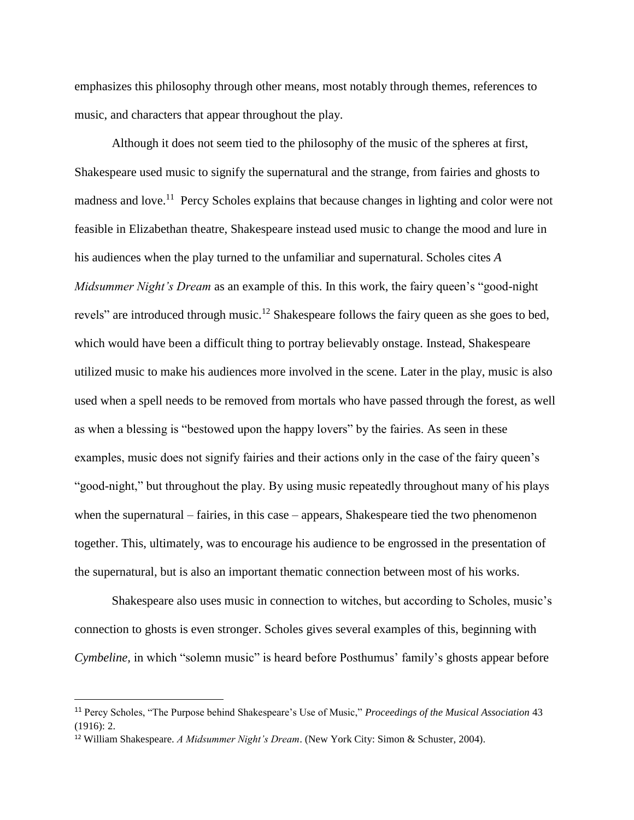emphasizes this philosophy through other means, most notably through themes, references to music, and characters that appear throughout the play.

Although it does not seem tied to the philosophy of the music of the spheres at first, Shakespeare used music to signify the supernatural and the strange, from fairies and ghosts to madness and love.<sup>11</sup> Percy Scholes explains that because changes in lighting and color were not feasible in Elizabethan theatre, Shakespeare instead used music to change the mood and lure in his audiences when the play turned to the unfamiliar and supernatural. Scholes cites *A Midsummer Night's Dream* as an example of this. In this work, the fairy queen's "good-night" revels" are introduced through music.<sup>12</sup> Shakespeare follows the fairy queen as she goes to bed, which would have been a difficult thing to portray believably onstage. Instead, Shakespeare utilized music to make his audiences more involved in the scene. Later in the play, music is also used when a spell needs to be removed from mortals who have passed through the forest, as well as when a blessing is "bestowed upon the happy lovers" by the fairies. As seen in these examples, music does not signify fairies and their actions only in the case of the fairy queen's "good-night," but throughout the play. By using music repeatedly throughout many of his plays when the supernatural – fairies, in this case – appears, Shakespeare tied the two phenomenon together. This, ultimately, was to encourage his audience to be engrossed in the presentation of the supernatural, but is also an important thematic connection between most of his works.

Shakespeare also uses music in connection to witches, but according to Scholes, music's connection to ghosts is even stronger. Scholes gives several examples of this, beginning with *Cymbeline,* in which "solemn music" is heard before Posthumus' family's ghosts appear before

<sup>11</sup> Percy Scholes, "The Purpose behind Shakespeare's Use of Music," *Proceedings of the Musical Association* 43 (1916): 2.

<sup>12</sup> William Shakespeare. *A Midsummer Night's Dream*. (New York City: Simon & Schuster, 2004).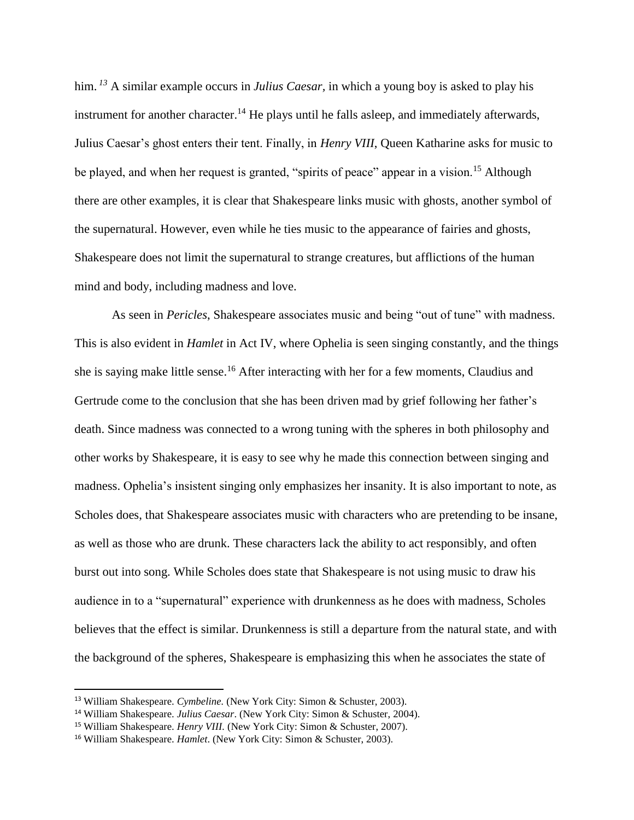him. *<sup>13</sup>* A similar example occurs in *Julius Caesar,* in which a young boy is asked to play his instrument for another character.<sup>14</sup> He plays until he falls asleep, and immediately afterwards, Julius Caesar's ghost enters their tent. Finally, in *Henry VIII*, Queen Katharine asks for music to be played, and when her request is granted, "spirits of peace" appear in a vision.<sup>15</sup> Although there are other examples, it is clear that Shakespeare links music with ghosts, another symbol of the supernatural. However, even while he ties music to the appearance of fairies and ghosts, Shakespeare does not limit the supernatural to strange creatures, but afflictions of the human mind and body, including madness and love.

As seen in *Pericles*, Shakespeare associates music and being "out of tune" with madness. This is also evident in *Hamlet* in Act IV, where Ophelia is seen singing constantly, and the things she is saying make little sense.<sup>16</sup> After interacting with her for a few moments, Claudius and Gertrude come to the conclusion that she has been driven mad by grief following her father's death. Since madness was connected to a wrong tuning with the spheres in both philosophy and other works by Shakespeare, it is easy to see why he made this connection between singing and madness. Ophelia's insistent singing only emphasizes her insanity. It is also important to note, as Scholes does, that Shakespeare associates music with characters who are pretending to be insane, as well as those who are drunk. These characters lack the ability to act responsibly, and often burst out into song. While Scholes does state that Shakespeare is not using music to draw his audience in to a "supernatural" experience with drunkenness as he does with madness, Scholes believes that the effect is similar. Drunkenness is still a departure from the natural state, and with the background of the spheres, Shakespeare is emphasizing this when he associates the state of

<sup>13</sup> William Shakespeare. *Cymbeline.* (New York City: Simon & Schuster, 2003).

<sup>14</sup> William Shakespeare. *Julius Caesar*. (New York City: Simon & Schuster, 2004).

<sup>&</sup>lt;sup>15</sup> William Shakespeare. *Henry VIII*. (New York City: Simon & Schuster, 2007).

<sup>16</sup> William Shakespeare. *Hamlet*. (New York City: Simon & Schuster, 2003).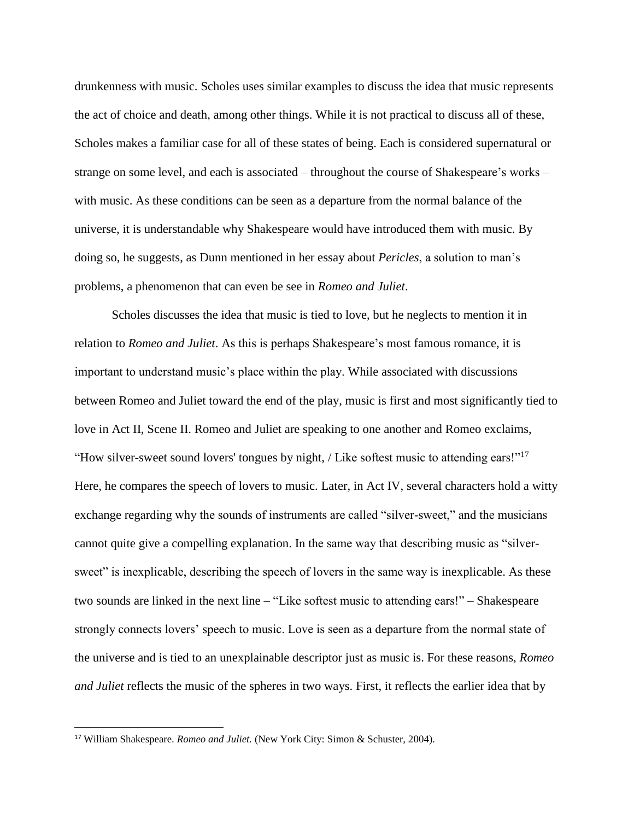drunkenness with music. Scholes uses similar examples to discuss the idea that music represents the act of choice and death, among other things. While it is not practical to discuss all of these, Scholes makes a familiar case for all of these states of being. Each is considered supernatural or strange on some level, and each is associated – throughout the course of Shakespeare's works – with music. As these conditions can be seen as a departure from the normal balance of the universe, it is understandable why Shakespeare would have introduced them with music. By doing so, he suggests, as Dunn mentioned in her essay about *Pericles*, a solution to man's problems, a phenomenon that can even be see in *Romeo and Juliet*.

Scholes discusses the idea that music is tied to love, but he neglects to mention it in relation to *Romeo and Juliet*. As this is perhaps Shakespeare's most famous romance, it is important to understand music's place within the play. While associated with discussions between Romeo and Juliet toward the end of the play, music is first and most significantly tied to love in Act II, Scene II. Romeo and Juliet are speaking to one another and Romeo exclaims, "How silver-sweet sound lovers' tongues by night,  $/$  Like softest music to attending ears!"<sup>17</sup> Here, he compares the speech of lovers to music. Later, in Act IV, several characters hold a witty exchange regarding why the sounds of instruments are called "silver-sweet," and the musicians cannot quite give a compelling explanation. In the same way that describing music as "silversweet" is inexplicable, describing the speech of lovers in the same way is inexplicable. As these two sounds are linked in the next line – "Like softest music to attending ears!" – Shakespeare strongly connects lovers' speech to music. Love is seen as a departure from the normal state of the universe and is tied to an unexplainable descriptor just as music is. For these reasons, *Romeo and Juliet* reflects the music of the spheres in two ways. First, it reflects the earlier idea that by

<sup>17</sup> William Shakespeare. *Romeo and Juliet.* (New York City: Simon & Schuster, 2004).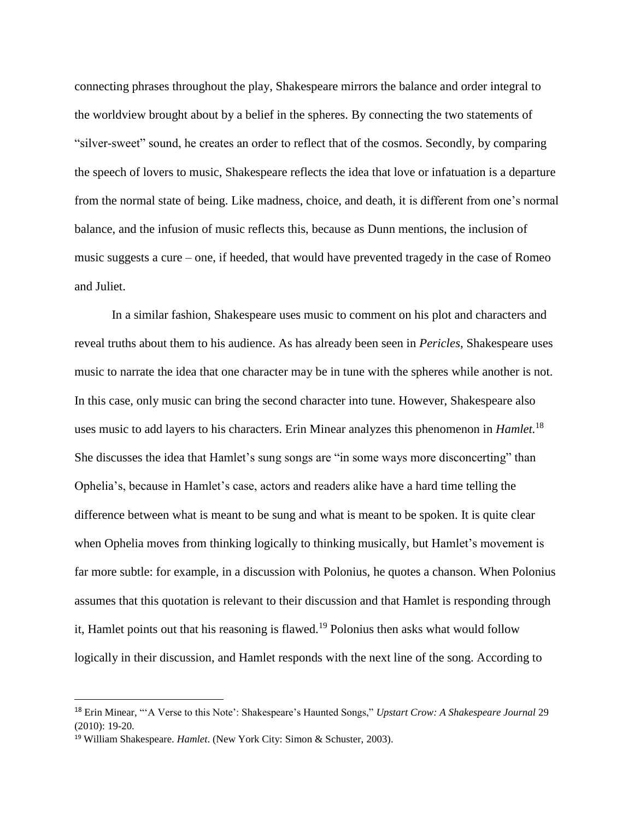connecting phrases throughout the play, Shakespeare mirrors the balance and order integral to the worldview brought about by a belief in the spheres. By connecting the two statements of "silver-sweet" sound, he creates an order to reflect that of the cosmos. Secondly, by comparing the speech of lovers to music, Shakespeare reflects the idea that love or infatuation is a departure from the normal state of being. Like madness, choice, and death, it is different from one's normal balance, and the infusion of music reflects this, because as Dunn mentions, the inclusion of music suggests a cure – one, if heeded, that would have prevented tragedy in the case of Romeo and Juliet.

In a similar fashion, Shakespeare uses music to comment on his plot and characters and reveal truths about them to his audience. As has already been seen in *Pericles*, Shakespeare uses music to narrate the idea that one character may be in tune with the spheres while another is not. In this case, only music can bring the second character into tune. However, Shakespeare also uses music to add layers to his characters. Erin Minear analyzes this phenomenon in *Hamlet.*<sup>18</sup> She discusses the idea that Hamlet's sung songs are "in some ways more disconcerting" than Ophelia's, because in Hamlet's case, actors and readers alike have a hard time telling the difference between what is meant to be sung and what is meant to be spoken. It is quite clear when Ophelia moves from thinking logically to thinking musically, but Hamlet's movement is far more subtle: for example, in a discussion with Polonius, he quotes a chanson. When Polonius assumes that this quotation is relevant to their discussion and that Hamlet is responding through it, Hamlet points out that his reasoning is flawed.<sup>19</sup> Polonius then asks what would follow logically in their discussion, and Hamlet responds with the next line of the song. According to

<sup>18</sup> Erin Minear, "'A Verse to this Note': Shakespeare's Haunted Songs," *Upstart Crow: A Shakespeare Journal* 29 (2010): 19-20.

<sup>19</sup> William Shakespeare. *Hamlet*. (New York City: Simon & Schuster, 2003).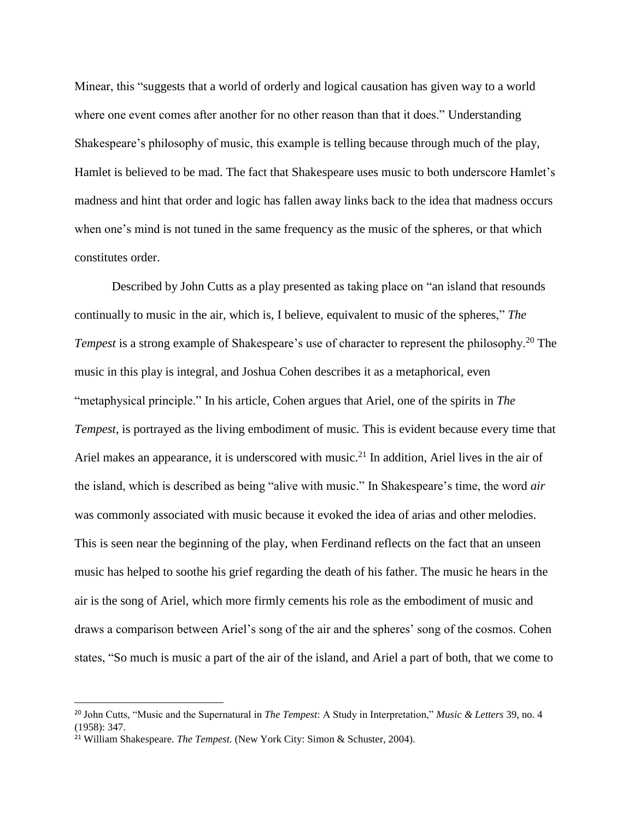Minear, this "suggests that a world of orderly and logical causation has given way to a world where one event comes after another for no other reason than that it does." Understanding Shakespeare's philosophy of music, this example is telling because through much of the play, Hamlet is believed to be mad. The fact that Shakespeare uses music to both underscore Hamlet's madness and hint that order and logic has fallen away links back to the idea that madness occurs when one's mind is not tuned in the same frequency as the music of the spheres, or that which constitutes order.

Described by John Cutts as a play presented as taking place on "an island that resounds continually to music in the air, which is, I believe, equivalent to music of the spheres," *The Tempest* is a strong example of Shakespeare's use of character to represent the philosophy.<sup>20</sup> The music in this play is integral, and Joshua Cohen describes it as a metaphorical, even "metaphysical principle." In his article, Cohen argues that Ariel, one of the spirits in *The Tempest*, is portrayed as the living embodiment of music. This is evident because every time that Ariel makes an appearance, it is underscored with music.<sup>21</sup> In addition, Ariel lives in the air of the island, which is described as being "alive with music." In Shakespeare's time, the word *air* was commonly associated with music because it evoked the idea of arias and other melodies. This is seen near the beginning of the play, when Ferdinand reflects on the fact that an unseen music has helped to soothe his grief regarding the death of his father. The music he hears in the air is the song of Ariel, which more firmly cements his role as the embodiment of music and draws a comparison between Ariel's song of the air and the spheres' song of the cosmos. Cohen states, "So much is music a part of the air of the island, and Ariel a part of both, that we come to

<sup>20</sup> John Cutts, "Music and the Supernatural in *The Tempest*: A Study in Interpretation," *Music & Letters* 39, no. 4 (1958): 347.

<sup>21</sup> William Shakespeare. *The Tempest.* (New York City: Simon & Schuster, 2004).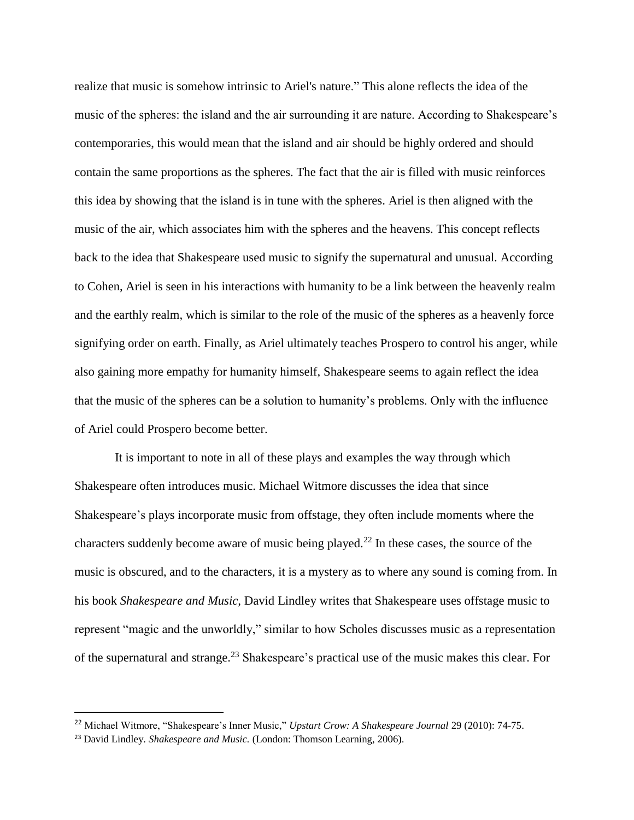realize that music is somehow intrinsic to Ariel's nature." This alone reflects the idea of the music of the spheres: the island and the air surrounding it are nature. According to Shakespeare's contemporaries, this would mean that the island and air should be highly ordered and should contain the same proportions as the spheres. The fact that the air is filled with music reinforces this idea by showing that the island is in tune with the spheres. Ariel is then aligned with the music of the air, which associates him with the spheres and the heavens. This concept reflects back to the idea that Shakespeare used music to signify the supernatural and unusual. According to Cohen, Ariel is seen in his interactions with humanity to be a link between the heavenly realm and the earthly realm, which is similar to the role of the music of the spheres as a heavenly force signifying order on earth. Finally, as Ariel ultimately teaches Prospero to control his anger, while also gaining more empathy for humanity himself, Shakespeare seems to again reflect the idea that the music of the spheres can be a solution to humanity's problems. Only with the influence of Ariel could Prospero become better.

It is important to note in all of these plays and examples the way through which Shakespeare often introduces music. Michael Witmore discusses the idea that since Shakespeare's plays incorporate music from offstage, they often include moments where the characters suddenly become aware of music being played.<sup>22</sup> In these cases, the source of the music is obscured, and to the characters, it is a mystery as to where any sound is coming from. In his book *Shakespeare and Music,* David Lindley writes that Shakespeare uses offstage music to represent "magic and the unworldly," similar to how Scholes discusses music as a representation of the supernatural and strange.<sup>23</sup> Shakespeare's practical use of the music makes this clear. For

<sup>22</sup> Michael Witmore, "Shakespeare's Inner Music," *Upstart Crow: A Shakespeare Journal* 29 (2010): 74-75.

<sup>23</sup> David Lindley. *Shakespeare and Music.* (London: Thomson Learning, 2006).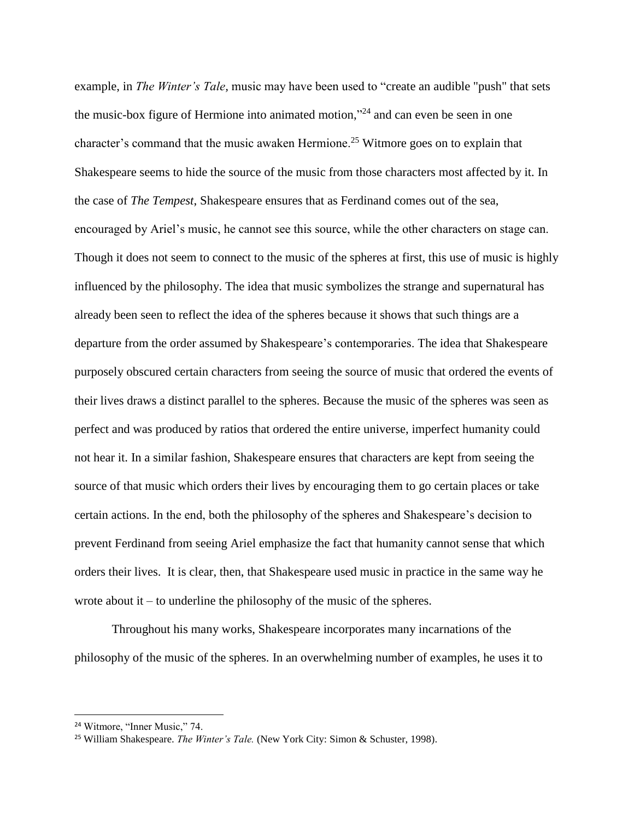example, in *The Winter's Tale,* music may have been used to "create an audible "push" that sets the music-box figure of Hermione into animated motion," <sup>24</sup> and can even be seen in one character's command that the music awaken Hermione.<sup>25</sup> Witmore goes on to explain that Shakespeare seems to hide the source of the music from those characters most affected by it. In the case of *The Tempest*, Shakespeare ensures that as Ferdinand comes out of the sea, encouraged by Ariel's music, he cannot see this source, while the other characters on stage can. Though it does not seem to connect to the music of the spheres at first, this use of music is highly influenced by the philosophy. The idea that music symbolizes the strange and supernatural has already been seen to reflect the idea of the spheres because it shows that such things are a departure from the order assumed by Shakespeare's contemporaries. The idea that Shakespeare purposely obscured certain characters from seeing the source of music that ordered the events of their lives draws a distinct parallel to the spheres. Because the music of the spheres was seen as perfect and was produced by ratios that ordered the entire universe, imperfect humanity could not hear it. In a similar fashion, Shakespeare ensures that characters are kept from seeing the source of that music which orders their lives by encouraging them to go certain places or take certain actions. In the end, both the philosophy of the spheres and Shakespeare's decision to prevent Ferdinand from seeing Ariel emphasize the fact that humanity cannot sense that which orders their lives. It is clear, then, that Shakespeare used music in practice in the same way he wrote about it – to underline the philosophy of the music of the spheres.

Throughout his many works, Shakespeare incorporates many incarnations of the philosophy of the music of the spheres. In an overwhelming number of examples, he uses it to

<sup>24</sup> Witmore, "Inner Music," 74.

<sup>25</sup> William Shakespeare. *The Winter's Tale.* (New York City: Simon & Schuster, 1998).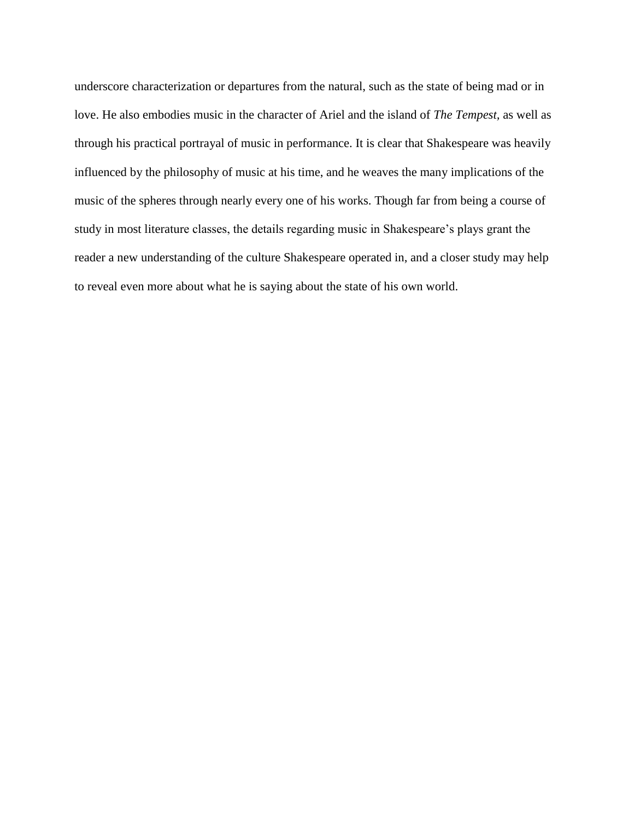underscore characterization or departures from the natural, such as the state of being mad or in love. He also embodies music in the character of Ariel and the island of *The Tempest,* as well as through his practical portrayal of music in performance. It is clear that Shakespeare was heavily influenced by the philosophy of music at his time, and he weaves the many implications of the music of the spheres through nearly every one of his works. Though far from being a course of study in most literature classes, the details regarding music in Shakespeare's plays grant the reader a new understanding of the culture Shakespeare operated in, and a closer study may help to reveal even more about what he is saying about the state of his own world.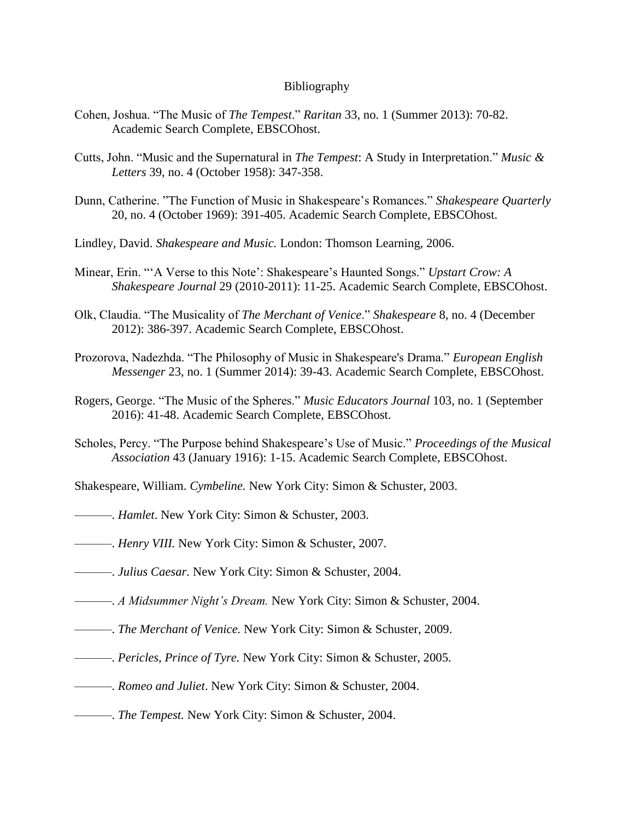## Bibliography

- Cohen, Joshua. "The Music of *The Tempest*." *Raritan* 33, no. 1 (Summer 2013): 70-82. Academic Search Complete, EBSCOhost.
- Cutts, John. "Music and the Supernatural in *The Tempest*: A Study in Interpretation." *Music & Letters* 39, no. 4 (October 1958): 347-358.
- Dunn, Catherine. "The Function of Music in Shakespeare's Romances." *Shakespeare Quarterly* 20, no. 4 (October 1969): 391-405. Academic Search Complete, EBSCOhost.
- Lindley, David. *Shakespeare and Music.* London: Thomson Learning, 2006.
- Minear, Erin. "'A Verse to this Note': Shakespeare's Haunted Songs." *Upstart Crow: A Shakespeare Journal* 29 (2010-2011): 11-25. Academic Search Complete, EBSCOhost.
- Olk, Claudia. "The Musicality of *The Merchant of Venice*." *Shakespeare* 8, no. 4 (December 2012): 386-397. Academic Search Complete, EBSCOhost.
- Prozorova, Nadezhda. "The Philosophy of Music in Shakespeare's Drama." *European English Messenger* 23, no. 1 (Summer 2014): 39-43. Academic Search Complete, EBSCOhost.
- Rogers, George. "The Music of the Spheres." *Music Educators Journal* 103, no. 1 (September 2016): 41-48. Academic Search Complete, EBSCOhost.
- Scholes, Percy. "The Purpose behind Shakespeare's Use of Music." *Proceedings of the Musical Association* 43 (January 1916): 1-15. Academic Search Complete, EBSCOhost.
- Shakespeare, William. *Cymbeline.* New York City: Simon & Schuster, 2003.
- ———. *Hamlet*. New York City: Simon & Schuster, 2003.
- ———. *Henry VIII.* New York City: Simon & Schuster, 2007.
- ———. *Julius Caesar.* New York City: Simon & Schuster, 2004.
- ———. *A Midsummer Night's Dream.* New York City: Simon & Schuster, 2004.
- ———. *The Merchant of Venice.* New York City: Simon & Schuster, 2009.
- ———. *Pericles, Prince of Tyre.* New York City: Simon & Schuster, 2005.
- ———. *Romeo and Juliet*. New York City: Simon & Schuster, 2004.
- ———. *The Tempest.* New York City: Simon & Schuster, 2004.